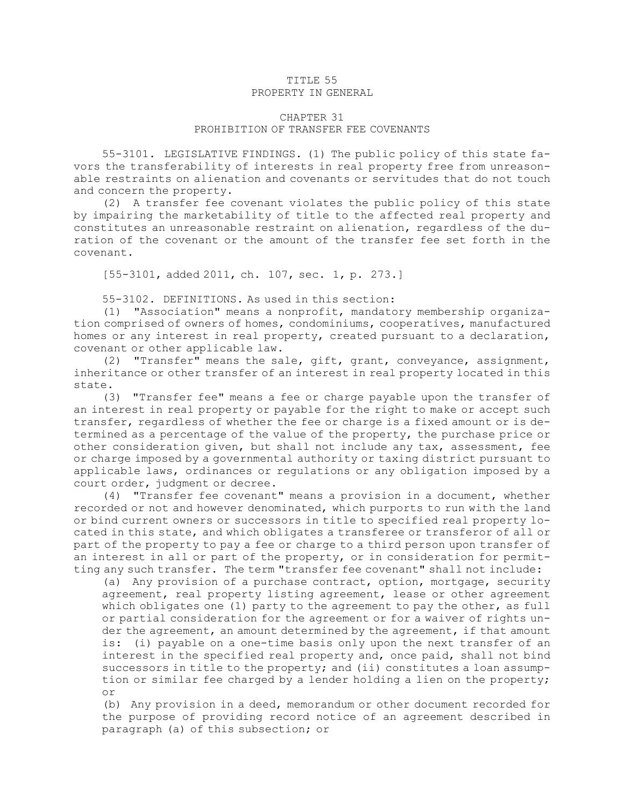## TITLE 55 PROPERTY IN GENERAL

## CHAPTER 31 PROHIBITION OF TRANSFER FEE COVENANTS

55-3101. LEGISLATIVE FINDINGS. (1) The public policy of this state favors the transferability of interests in real property free from unreasonable restraints on alienation and covenants or servitudes that do not touch and concern the property.

(2) <sup>A</sup> transfer fee covenant violates the public policy of this state by impairing the marketability of title to the affected real property and constitutes an unreasonable restraint on alienation, regardless of the duration of the covenant or the amount of the transfer fee set forth in the covenant.

[55-3101, added 2011, ch. 107, sec. 1, p. 273.]

55-3102. DEFINITIONS. As used in this section:

(1) "Association" means <sup>a</sup> nonprofit, mandatory membership organization comprised of owners of homes, condominiums, cooperatives, manufactured homes or any interest in real property, created pursuant to <sup>a</sup> declaration, covenant or other applicable law.

(2) "Transfer" means the sale, gift, grant, conveyance, assignment, inheritance or other transfer of an interest in real property located in this state.

(3) "Transfer fee" means <sup>a</sup> fee or charge payable upon the transfer of an interest in real property or payable for the right to make or accept such transfer, regardless of whether the fee or charge is <sup>a</sup> fixed amount or is determined as <sup>a</sup> percentage of the value of the property, the purchase price or other consideration given, but shall not include any tax, assessment, fee or charge imposed by <sup>a</sup> governmental authority or taxing district pursuant to applicable laws, ordinances or regulations or any obligation imposed by <sup>a</sup> court order, judgment or decree.

(4) "Transfer fee covenant" means <sup>a</sup> provision in <sup>a</sup> document, whether recorded or not and however denominated, which purports to run with the land or bind current owners or successors in title to specified real property located in this state, and which obligates <sup>a</sup> transferee or transferor of all or part of the property to pay <sup>a</sup> fee or charge to <sup>a</sup> third person upon transfer of an interest in all or part of the property, or in consideration for permitting any such transfer. The term "transfer fee covenant" shall not include:

(a) Any provision of <sup>a</sup> purchase contract, option, mortgage, security agreement, real property listing agreement, lease or other agreement which obligates one (1) party to the agreement to pay the other, as full or partial consideration for the agreement or for <sup>a</sup> waiver of rights under the agreement, an amount determined by the agreement, if that amount is: (i) payable on <sup>a</sup> one-time basis only upon the next transfer of an interest in the specified real property and, once paid, shall not bind successors in title to the property; and (ii) constitutes a loan assumption or similar fee charged by <sup>a</sup> lender holding <sup>a</sup> lien on the property; or

(b) Any provision in <sup>a</sup> deed, memorandum or other document recorded for the purpose of providing record notice of an agreement described in paragraph (a) of this subsection; or